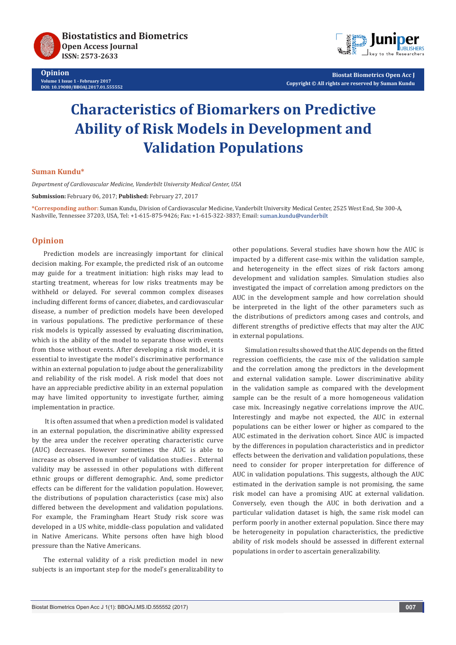

**Opinion Volume 1 Issue 1 - February 2017 DOI: [10.19080/BBOAJ.2017.01.555552](http://dx.doi.org/10.19080/BBOAJ.2017.01.555552)**



**Biostat Biometrics Open Acc J Copyright © All rights are reserved by Suman Kundu**

# **Characteristics of Biomarkers on Predictive Ability of Risk Models in Development and Validation Populations**

### **Suman Kundu\***

*Department of Cardiovascular Medicine, Vanderbilt University Medical Center, USA*

**Submission:** February 06, 2017; **Published:** February 27, 2017

**\*Corresponding author:** Suman Kundu, Division of Cardiovascular Medicine, Vanderbilt University Medical Center, 2525 West End, Ste 300-A, Nashville, Tennessee 37203, USA, Tel: +1-615-875-9426; Fax: +1-615-322-3837; Email:

## **Opinion**

Prediction models are increasingly important for clinical decision making. For example, the predicted risk of an outcome may guide for a treatment initiation: high risks may lead to starting treatment, whereas for low risks treatments may be withheld or delayed. For several common complex diseases including different forms of cancer, diabetes, and cardiovascular disease, a number of prediction models have been developed in various populations. The predictive performance of these risk models is typically assessed by evaluating discrimination, which is the ability of the model to separate those with events from those without events. After developing a risk model, it is essential to investigate the model's discriminative performance within an external population to judge about the generalizability and reliability of the risk model. A risk model that does not have an appreciable predictive ability in an external population may have limited opportunity to investigate further, aiming implementation in practice.

 It is often assumed that when a prediction model is validated in an external population, the discriminative ability expressed by the area under the receiver operating characteristic curve (AUC) decreases. However sometimes the AUC is able to increase as observed in number of validation studies . External validity may be assessed in other populations with different ethnic groups or different demographic. And, some predictor effects can be different for the validation population. However, the distributions of population characteristics (case mix) also differed between the development and validation populations. For example, the Framingham Heart Study risk score was developed in a US white, middle-class population and validated in Native Americans. White persons often have high blood pressure than the Native Americans.

The external validity of a risk prediction model in new subjects is an important step for the model's generalizability to

other populations. Several studies have shown how the AUC is impacted by a different case-mix within the validation sample, and heterogeneity in the effect sizes of risk factors among development and validation samples. Simulation studies also investigated the impact of correlation among predictors on the AUC in the development sample and how correlation should be interpreted in the light of the other parameters such as the distributions of predictors among cases and controls, and different strengths of predictive effects that may alter the AUC in external populations.

 Simulation results showed that the AUC depends on the fitted regression coefficients, the case mix of the validation sample and the correlation among the predictors in the development and external validation sample. Lower discriminative ability in the validation sample as compared with the development sample can be the result of a more homogeneous validation case mix. Increasingly negative correlations improve the AUC. Interestingly and maybe not expected, the AUC in external populations can be either lower or higher as compared to the AUC estimated in the derivation cohort. Since AUC is impacted by the differences in population characteristics and in predictor effects between the derivation and validation populations, these need to consider for proper interpretation for difference of AUC in validation populations. This suggests, although the AUC estimated in the derivation sample is not promising, the same risk model can have a promising AUC at external validation. Conversely, even though the AUC in both derivation and a particular validation dataset is high, the same risk model can perform poorly in another external population. Since there may be heterogeneity in population characteristics, the predictive ability of risk models should be assessed in different external populations in order to ascertain generalizability.